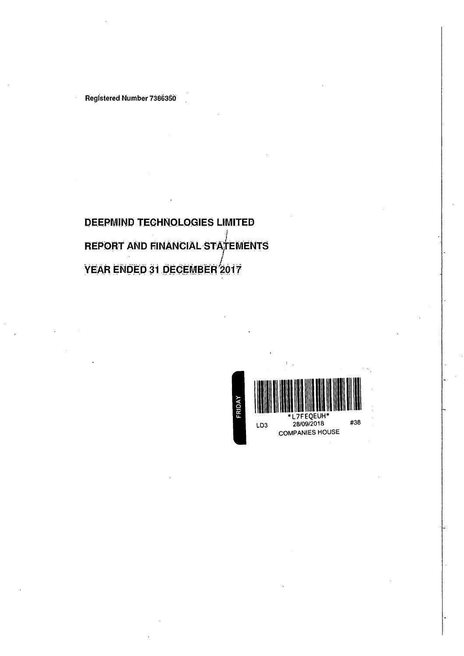Registered Number 7386350

DEEPMIND TECHNOLOGIES LIMITED <sup>|</sup> | REPORT AND FINANCIAL STATEMENTS YEAR ENDED 31 DECEMBER 2017



J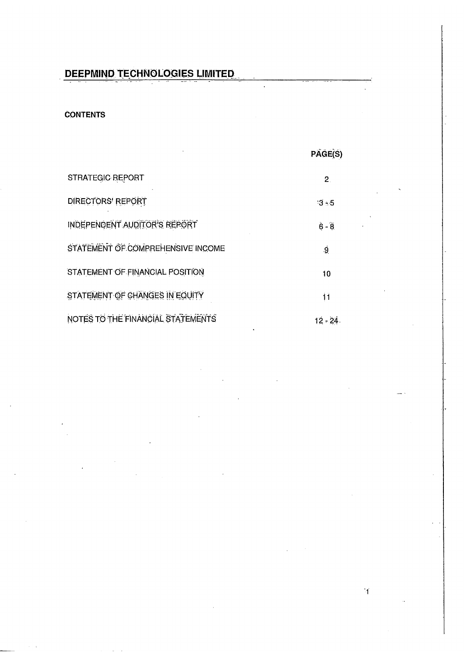#### **CONTENTS**

PAGE(S) STRATEGIC REPORT  $\overline{2}$ DIRECTORS' REPORT  $3 + 5$ INDEPENDENT AUDITOR'S REPORT  $6 - 8$ STATEMENT OF COMPREHENSIVE INCOME  $.9$ STATEMENT OF FINANCIAL POSITION  $10$ STATEMENT OF CHANGES IN EQUITY  $11$ NOTES TO THE FINANCIAL STATEMENTS  $12 - 24$ 

T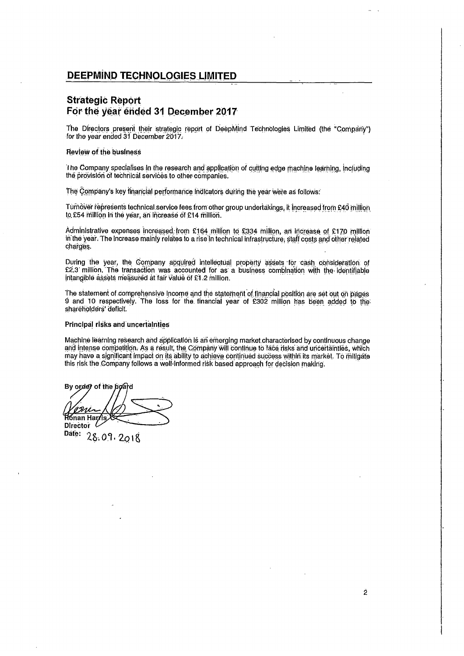## **Strategic Report** For the year ended 31 December 2017

The Directors present their strategic report of DeepMind Technologies Limited (the "Company") for the year ended 31 December 2017.

#### **Review of the business**

The Company specialises in the research and application of cutting edge machine learning, including the provision of technical services to other companies.

The Company's key financial performance indicators during the year were as follows:

Turnover represents technical service fees from other group undertakings, it increased from £40 million to £54 million in the year, an increase of £14 million.

Administrative expenses increased from £164 million to £334 million, an increase of £170 million in the year. The increase mainly relates to a rise in technical infrastructure, staff costs and other related charges.

During the year, the Company acquired intellectual property assets for cash consideration of £2.3 million. The transaction was accounted for as a business combination with the identifiable intangible assets measured at fair value of £1.2 million.

The statement of comprehensive income and the statement of financial position are set out on pages 9 and 10 respectively. The loss for the financial year of £302 million has been added to the shareholders' deficit.

#### Principal risks and uncertainties

Machine learning research and application is an emerging market characterised by continuous change and intense competition. As a result, the Company Will continue to face risks and uncertainties, which may have a significant impact on its ability to achieve continued success within its market. To mitigate this risk the Company follows a well-informed risk based approach for decision making.

By orde) of the poard **Ronan Harris Director** 

Date: 28.09.2018

 $\ddot{2}$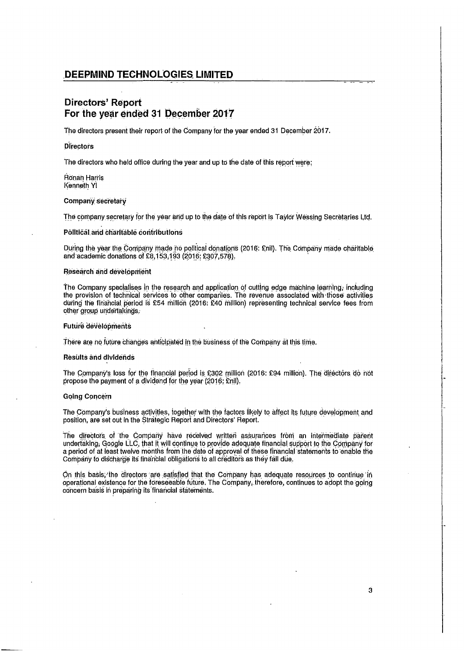## **Directors' Report** For the year ended 31 December 2017

The directors present their report of the Company for the year ended 31 December 2017.

#### **Directors**

The directors who held office during the year and up to the date of this report were:

Ronan Harris Kenneth Yi

#### Company secretary

The company secretary for the year and up to the date of this report is Taylor Wessing Secretaries Ltd.

#### Political and charitable contributions

During the year the Company made no political donations (2016: £nil). The Company made charitable and academic donations of £8,153,193 (2016: £307,578).

#### Research and development

The Company specialises in the research and application of cutting edge machine learning, including the provision of technical services to other companies. The revenue associated with those activities during the financial period is £54 million (2016: £40 million) representing technical service fees from other group undertakings.

#### Future developments

There are no future changes anticipated in the business of the Company at this time.

#### Results and dividends

The Company's loss for the financial period is £302 million (2016: £94 million). The directors do not propose the payment of a dividend for the year (2016; £nil).

#### **Going Concern**

The Company's business activities, together with the factors likely to affect its future development and position, are set out in the Strategic Report and Directors' Report.

The directors of the Company have received written assurances from an intermediate parent undertaking, Google LLC, that it will continue to provide adequate financial support to the Company for a period of at least twelve months from the date of approval of these financial statements to enable the Company to discharge its financial obligations to all creditors as they fall due.

On this basis. the directors are satisfied that the Company has adequate resources to continue in operational existence for the foreseeable future. The Company, therefore, continues to adopt the going concern basis in preparing its financial statements.

3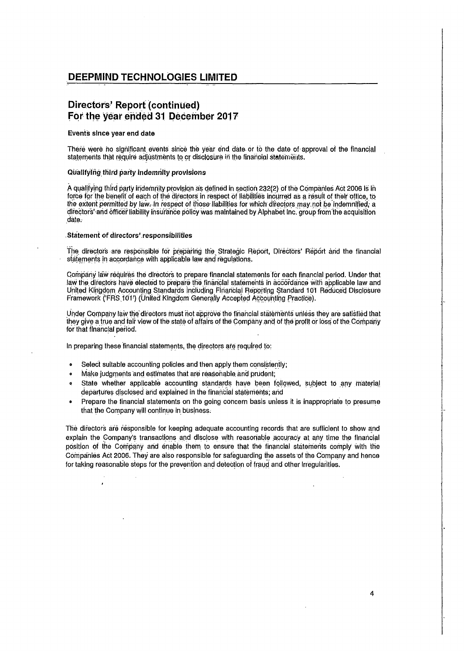## Directors' Report (continued) For the year ended 31 December 2017

#### Events since year end date

There were ho significant events since the year end date or to the date of approval of the financial statements that require adjustments to or disclosure in the finanoial statements.

### Qualifying third party indemnity provisions

A qualifying third party indemnity provision as defined in section 232(2) of the Companies Act 2006 is in force for the benefit of each of the directors in respect of liabilities incurred as a result of their office, to the extent permitted by law. In respect of those liabilities for which directors may not be indemnified; a directors'-and officer liabilityiinsurance policy Was maintained by Alphabet Inc. group from 'the acquisition date.

#### Statement of directors' responsibilities

The directors are responsible for preparing the, Strategic Report, Directors' Report and the financial statements in accordance with applicable law and regulations.

Company law requires the directors to prepare financial statements for each financial period. Under that law the directors have elected to prepare the financlal statements in accordance with applicable law and United Kirigdom, Accounting, Standards including Financial Reporting Standard 101 Reduced Disclosure Framework ('FRS 101') (United Kingdom Generally Accepted Accounting Practice).

Under Company law the directors must not approve the financial statements unless they are satisfied that they give a true and fair view of the staté of affairs of the Companyandoftheprofit or lossof the Company for that financial period.

In preparing these financial statements, the directors are required to:

- Select suitable accounting policles and then apply them consistently;
- Make judgments and estimates that are reasonable and prudent;
- State whether applicable accounting standards have been followed, subject to any material departures disclosed and explained in the financial statements; and
- Prepare the financial statements on the going concern basis unless it is inappropriate to presume that the Companywill continue in business:

The directors are responsible for keeping adequate accounting records that are sufficient to show and explain the Company's transactions and disclose with reasonable accuracy at any time the financial position of the Company and énable them to ensure that the financial statements comply with the Companies Act 2006. They are also responsible for safeguarding the assets of the Company and hence for taking reasonable steps for the prevention and detection of fraud and other Irregularities,

 $\overline{a}$ 

 $\begin{bmatrix} 1 & 0 \\ 0 & 1 \end{bmatrix}$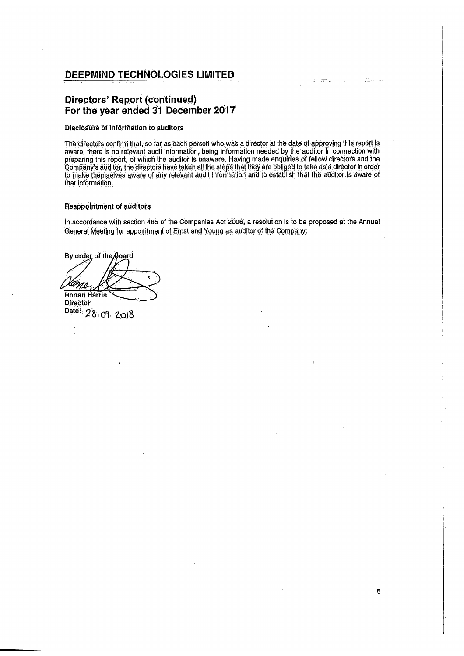## Directors' Report (continued) For the year ended 31 December 2017

Disclosiiré of Information to auditors

The directors confirm that, so far as each person who, was a director at the date of approving this report is aware, there Is no relevant audit information, being information needed by the auditor in connection with preparing this report, of which the auditor is unaware. Having made enquiries of fellow directors and the 'Company's auditor, the directors have taken all the steps that they are obliged to take as a director in order to make themselves aware of any relevant audit information and to establish that the auditor is aware of that information,

#### Reappointment of auditors

In accordance with section 485 of the Companies Act 2006, a resolution is to be proposed at the Annual General Meeting for appointment of Ernst and Young as auditor of the Company.<br>By order of the floard<br>By order of the fl

Mealing for appointment of Ernst and Young as auditor of the Company,<br>of the Noard<br>faris<br>8. 01.  $2s18$ 

Director Date:  $28,09.$  2018

 $\vert$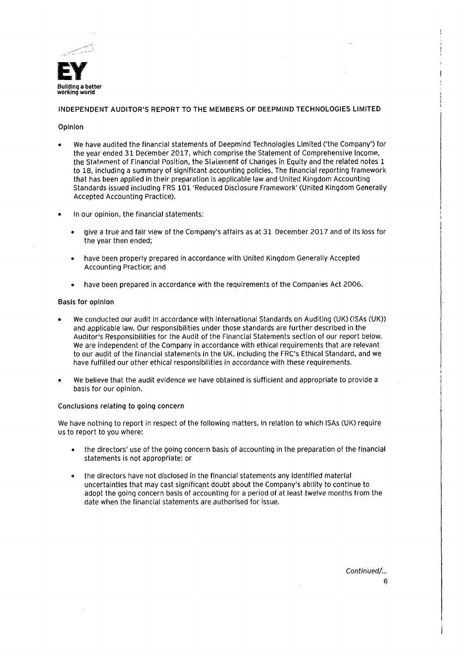

## INDEPENDENT AUDITOR'S REPORT TO THE MEMBERS OF DEEPMIND TECHNOLOGIESLIMITED

#### Opinion

- <sup>e</sup> We have audited the financial statements of Deepmind Technologies Limited ('the Company') for the year ended 31 December 2017, which comprise the Statement of Comprehensive Income, the Statement of Financial Position, the Slalement of Changes in Equity and the related notes <sup>1</sup> to 18, including <sup>a</sup> summaryof significant accounting policies. The financial reporting framework that has been applied in their preparation is applicable law and United Kingdom Accounting Standards issued including FRS 101 'Reduced Disclosure Framework' (United Kingdom Generally Accepted Accounting Practice).
- In our opinion, the financial statements:
	- <sup>e</sup> give <sup>a</sup> true and fair view of the Company's affairs as at 31 December <sup>2017</sup> andofits loss for the year then ended;
	- <sup>e</sup> have been properly prepared in accordance with United Kingdom Generally Accepted Accounting Practice; and
	- <sup>e</sup> have been prepared in accordance with the requirements of the Companies Act 2006.

#### Basis for opinion

- <sup>e</sup> We conducted our audit in accordance with International Standards on Auditing (UK) (ISAs (UK)) and applicable law. Our responsibilities under those standards are further described in the Auditor's Responsibilities for the Audit of the Financial Statements section of our report below. We are independent of the Company in accordance with ethical requirements that are relevant to our audit of the financial statements in the UK, including the FRC's Ethical Standard, and we have fulfilled our other ethical responsibilities in accordance with these requirements.
- <sup>e</sup> We believe that the audit evidence we have obtained is sufficient and appropriate to provide <sup>a</sup> basis for our opinion.

#### Conclusions relating to going concern

We have nothing to report in respect of the following matters, in relation to which ISAs (UK) require us to report to you where:

- e the directors' use of the going concern basis of accounting in the preparation of the financial statements is not appropriate: or
- ® the directors have nat disclosed in the financial statements any identified material uncertainties that may cast significant doubt about the Company's ability to continue to adopt the going concern basis of accounting for a period of at least twelve months from the date when the financial statements are authorised for issue.

Continued/...

ł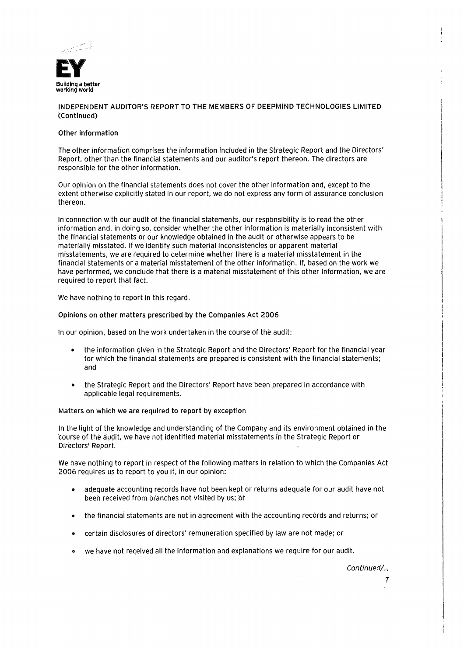

## INDEPENDENT AUDITOR'S REPORT TO THE MEMBERS OF DEEPMIND TECHNOLOGIES LIMITED (Continued)

#### Other information

The other information comprises the information included in the Strategic Report and the Directars' Report, other than the financial statements and our auditor's report thereon. The directors are responsible for the other information.

Our opinion on the financial statements does not cover the other information and, except to the extent otherwise explicitly stated in our report, we do not express any form of assurance conclusion thereon.

In connection with our audit of the financial statements, our responsibility is to read the other information and, in doing so, consider whether the other information is materially inconsistent with the financial statements or our knowledge obtained in the audit or otherwise appears to be materially misstated. If we identify such material inconsistencies or apparent material misstatements, we are required to determine whether there is <sup>a</sup> material misstatement in the financial statements or <sup>a</sup> material misstatement of the other information. If, based on the work we have performed, we conclude that there is a material misstatement of this other information, we are required to report that fact.

We have nothing to report in this regard.

#### Opinions on other matters prescribed by the Companies Act 2006

in our opinion, based on the work undertaken in the course of the audit:

- <sup>e</sup> the information given in the Strategic Report and the Directors' Report for the financial year for which the financial statements are prepared is consistent with the financial statements; and
- <sup>e</sup> the Strategic Report arid the Directors' Report have been prepared in accordance with applicable legal requirements.

#### Matters on which we are required to report by exception

In the light of the knowledge and understanding of the Company and its environment obtained in the course of the audit, we have not identified material misstatements in the Strategic Report or Directors' Report.

We have nothing to report in respect of the following matters in relation to which the Companies Act 2006 requires us to report to you if, in our opinion:

- e adequate accounting records have not been kept or returns adequate for our audit have not been received from branches not visited by us; or
- e the financial statements are not in agreement with the accounting records and returns; or
- e certain disclosures of directors' remuneration specified by law are not made; or
- we have not received all the information and explanations we require for our audit.

Continued/...

J

 $\mathbf{1}$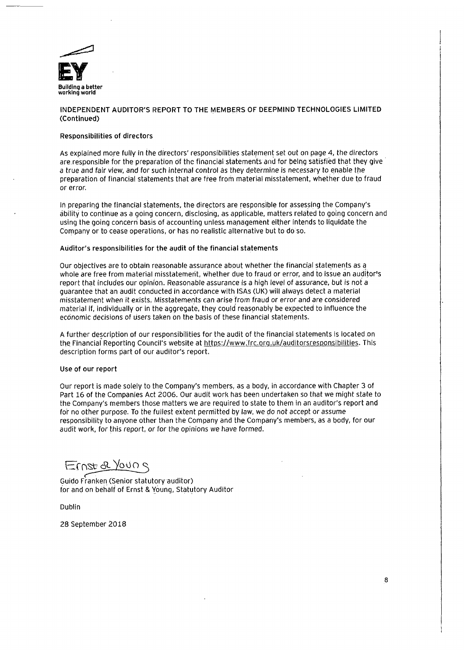

### INDEPENDENT AUDITOR'S REPORT TO THE MEMBERS OF DEEPMIND TECHNOLOGIESLIMITED (Continued)

#### Responsibilities of directors

As explained more fully in the directors' responsibilities statement set out on page 4, the directors are.responsible for the preparation of the financial: statements arid for being satisfied that they give <sup>a</sup> true and fair view, and for such internal control as they determineis necessary to enable the preparation of financial statements that are free from material misstatement, whether due to fraud or error.

In preparing the financial statements, the directors are responsible for assessing the Company's ability to continue as a going concern, disclosing, as applicable, matters related to going concern and using the going concernbasis of accounting unless managementeither intends to liquidate the Company or to cease operations, or has no realistic alternative but to do so.

#### Auditor's responsibilities for the audit of the financial statements

Our objectives are to obtain reasonable assurance about whether the financial statements as a whole are free from material misstatement, whether due to fraud or error, and to issue an auditor's report that includes our opinion. Reasonable assuranceis <sup>a</sup> high level of assurance, but is not <sup>a</sup> guarantee that an audit conducted in accordance with ISAs (UK) will always detect a material misstatement whenit exists. Misstatements can arise from fraud or error andare considered material if, individually or in the aggregate, they could reasonably be expected to influence the economic decisions of users taken on the basis of these financial statements.

A further description of our responsibilities for the audit of the financial statementsis located on the Financial Reporting Council's website at https://www.frc.org.uk/auditorsresponsibilities. This description forms part of our auditor's report.

#### Use of our report

Our report is made solely to the Company's members, as a body, in accordance with Chapter 3 of Part 16 of the Companies Act 2006. Our audit work has been undertaken so that we might state to the Company's members those matters we are required to state to them in an auditor's report and for no other purpose. To the fullest extent permitted by law, we do not accept or assume responsibility to anyone other than the Company and the Company's members, as a body, for our audit work, for this report, or for the opinions we have formed.

Ernst & Young

Guido Franken (Senior statutory auditor) for and on behalf of Ernst & Young, Statutory Auditor

Dublin

28 September 2018

f,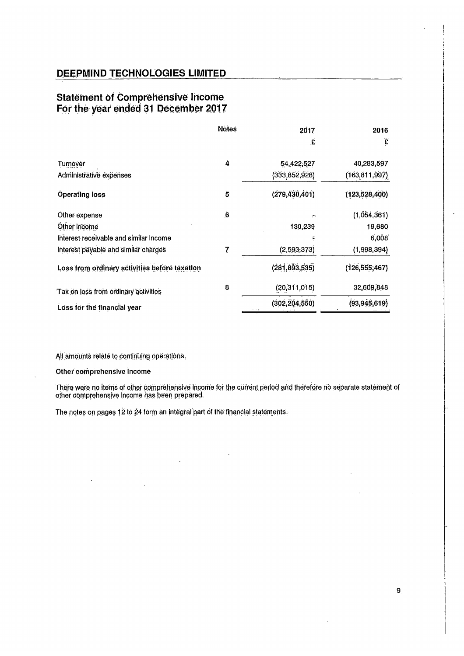# Statement of Comprehensive Income<br>For the year ended 31 December 2017

|                                               | <b>Notes</b>    | 2017            | 2016            |
|-----------------------------------------------|-----------------|-----------------|-----------------|
|                                               |                 | £               | Ë               |
| Turnover                                      | $\ddot{\bf{a}}$ | 54,422,527      | 40,283,597      |
| Administrative expenses                       |                 | (333, 852, 928) | (163, 811, 997) |
| <b>Operating loss</b>                         | 5               | (279, 430, 401) | (123, 528, 400) |
| Other expense                                 | 6               | ÷.              | (1,054,361)     |
| Other Income                                  |                 | 130,239         | 19,680          |
| Interest receivable and similar income        |                 |                 | 6,008           |
| Interest payable and similar charges          | 7               | (2,593,373)     | (1,998,394)     |
| Loss from ordinary activities before taxation |                 | (281, 893, 535) | (126, 555, 467) |
| Tax on loss from ordinary activities          | 8               | (20,311,015)    | 32,609,848      |
| Loss for the financial year                   |                 | (302, 204, 550) | (93, 945, 619)  |

All amounts relate to continuing operations.

Other comprehensive income

There were no items of other comprehensive income for the current period and therefore no separate statement of<br>other comprehensive income has been prepared.

The notes on pages 12 to 24 form an integral part of the financial statements.

 $\overline{a}$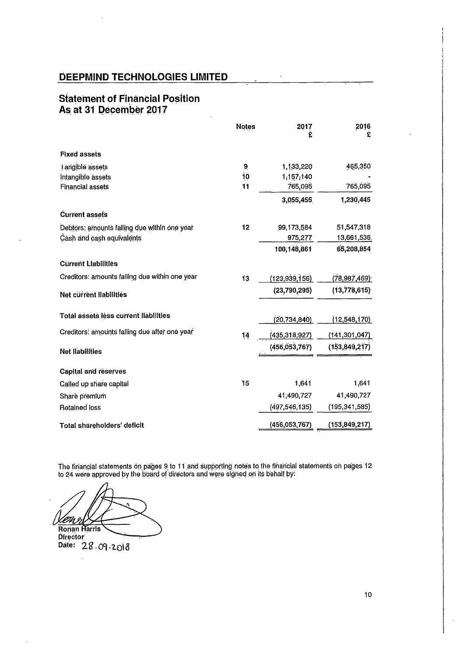# Statement of Financial Position<br>As at 31 December 2017

|                                                | <b>Notes</b> | 2017<br>£       | 2016<br>£       |
|------------------------------------------------|--------------|-----------------|-----------------|
| <b>Fixed assets</b>                            |              |                 |                 |
| I angible assets                               | 9            | 1,133,220       | 465,350         |
| Intangible assets                              | 10           | 1,157,140       |                 |
| <b>Financial assets</b>                        | 11           | 765,095         | 765,095         |
|                                                |              | 3,055,455       | 1,230,445       |
| <b>Current assets</b>                          |              |                 |                 |
| Debtors: amounts falling due within one year   | 12           | 99,173,584      | 51,547,318      |
| Cash and cash equivalents                      |              | 975,277         | 13,661,536      |
|                                                |              | 100,148,861     | 65,208,854      |
| <b>Cürrent Liabilities</b>                     |              |                 |                 |
| Creditors: amounts falling due within one year | 13           | (123, 939, 156) | (78, 987, 469)  |
| Net current liabilities                        |              | (23,790,295)    | (13,778,615)    |
| Total assets less current liabilities          |              | (20, 734, 840)  | (12,548,170)    |
| Creditors: amounts falling due after one year  | 14           | (435,318,927)   | (141, 301, 047) |
|                                                |              | (456,053,767)   | (153, 849, 217) |
| <b>Net liabilities</b>                         |              |                 |                 |
| <b>Capital and reserves</b>                    |              |                 |                 |
| Called up share capital                        | 15           | 1,641           | 1,641           |
| Share premium                                  |              | 41,490,727      | 41,490,727      |
| Retained loss                                  |              | (497, 546, 135) | (195, 341, 585) |
| Total shareholders' deficit                    |              | (456,053,767)   | (153, 849, 217) |

 $\mathcal{A}$ 

The financial statements on pages 9 to 11 and supporting notes to the financial statements on pages 12<br>to 24 were approved by the board of directors and were signed on its behalf by:

Xezh 91 Ronan Harris<br>Director

Date: 28.09.2018

 $10<sub>10</sub>$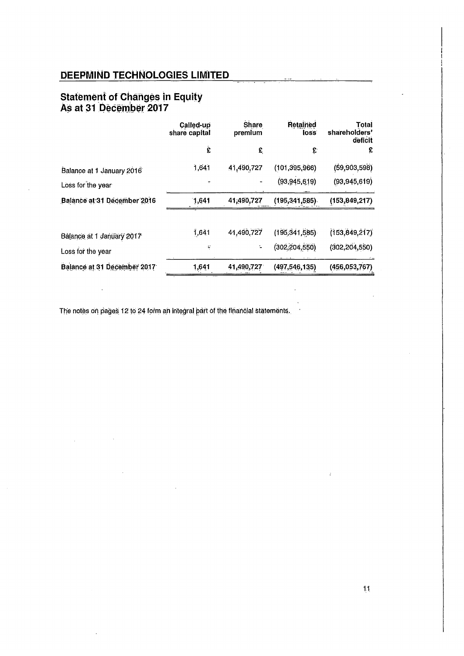# Statement of Changes in Equity<br>As at 31 December 2017

 $\ddot{\phantom{a}}$ 

| DEEPMIND TECHNOLOGIES LIMITED<br><b>Statement of Changes in Equity</b><br>As at 31 December 2017 | Called-up<br>share capital | Share<br>premium | Retalned<br>loss                   | Total<br>shareholders'             |
|--------------------------------------------------------------------------------------------------|----------------------------|------------------|------------------------------------|------------------------------------|
|                                                                                                  | Ė                          | £                | £.                                 | deficit<br>£                       |
| Balance at 1 January 2016                                                                        | 1,641                      | 41,490,727       | (101, 395, 966)                    | (59,903,598)                       |
| Loss for the year                                                                                |                            |                  | (93, 945, 619)                     | (93, 945, 619)                     |
| Balance at 31 December 2016                                                                      | 1,641                      | 41,490,727       | (195, 341, 585)                    | (153, 849, 217)                    |
|                                                                                                  |                            |                  |                                    |                                    |
| Bàlance at 1 January 2017                                                                        | 1,641<br>÷                 | 41,490,727<br>t, | (195, 341, 585)<br>(302, 204, 550) | (153, 849, 217)<br>(302, 204, 550) |
| Loss for the year<br>Balance at 31 December 2017                                                 | 1,641                      | 41,490,727       | (497, 546, 135)                    | (456, 053, 767)                    |

The notes on pages 12 to 24 form an integral part of the financial statements.

 $\mathbf{I}$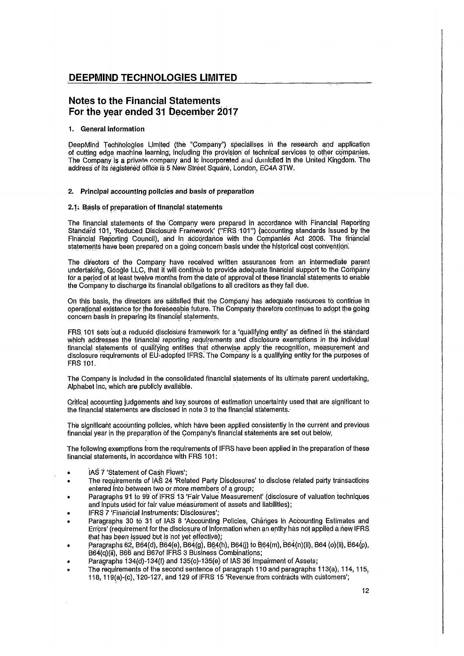## Notes to the Financial Statements For the year ended 31 December 2017

#### 1. General information

DeepMind Technologies Limited (the "Company") specialises in the research and application<br>of cutting edge machine learning, including the provision of technical services to other companies. The Companyis <sup>a</sup> privata company and Ic incorporated arid dumniciied In the United Kingdom. The address of its registered office is 5 New Street Square, London, EC4A 3TW.

#### 2. Principal accounting policies and basis of preparation

#### 2.1: Basis of preparation of financial statements

The financial statements of the 'Company were prepared in accordance with Financial Reporting Standard 101, 'Reduced Disclosuré Framework' ('FRS 101") (accounting standards issued by the Financial Reporting Council), arid in accordance with the Companiés Act 2006. The firiancial statements have been prepared on a going concern basis under the historical cost convention.

The difectors of the Company have recelved written assurances from an intermediate parent undertaking, Google LLC, that it will continue to provide adequate financial support to the Company for a period of at least twelve months from the date of approval of these financial statements to enable the Company to discharge its financial obligations to all creditors as they fall due.

On this basis, the directors are satisfied that the Company has adequate resources to continue in operational existencefor the foreséeable future.The Compaiiy thérefore continues to adopt the going concern basis in preparing its financial statements.

FRS 101 sets out-a reduced disclosure framework for a 'qualifying entity' as defined in the standard which addresses the financial reporting requirements and disclosure exemptions in the individual financial statements of qualifying entities that otherwise apply" the recognition,. méasurement and disclosure requirements of EU-adopted IFRS. The Companyis <sup>a</sup> qualifyingentity for the purposes of FRS 101.

The Company is included in the consolidated financial statements of its ultimate parent undertaking, Alphabet Inc, which are publicly available.

Critical accounting judgements and key sources of estimation uncertainty used that are significant to the financial statements are disclosedin note <sup>3</sup> tothe financial statements.

The significant accounting policies, which have been applied consistently in the current and previous financial year in the preparation of thé Company'sfinancial statements aré set out below,

The following exemptions from the requirements of IFRS have been applied in the preparation of these financial statements, In accordance with FRS 101:

- 1AS 7 'Statement of Cash Flows';
- . The requirements of IAS 24'Related Party Disclosures'to discloserelated party transactions entered into between two or more members of a group;
- Paragraphs 91 to 99 of IFRS 13 'Fair Value Measurement' (disclosure of valuation techniques and inputs used for fair value measurement of assets and liabilities);
- . IFRS7 'Financial Instruments: Disclosures';
- Paragraphs 30 to 31 of IAS 8 'Accounting Policies, Changes in Accounting Estimates and Errors' (requirement for the disclosure of Information when an entity has not applied a new IFRS. that has been issued but is not yet effective);
- Paragraphs 62, B64(d), B64(e), B64(g), B64(h), B64(j) to B64(m), B64(n)(ii), B64 (o)(ii), B64(p), B64(q)(ii), B66 and B67of IFRS 3 Business Combinations;
- Paragraphs 134(d)-134(f) and 135(c)-135(e) of IAS 36 Impairment of Assets;
- The requirements of the second sentence of paragraph 110 and paragraphs 113(a), 114, 115, 118, 119(a)-(c), 120-127, and 129 of IFRS15 'Revenue from contracts with customers';

 $\overline{\phantom{a}}$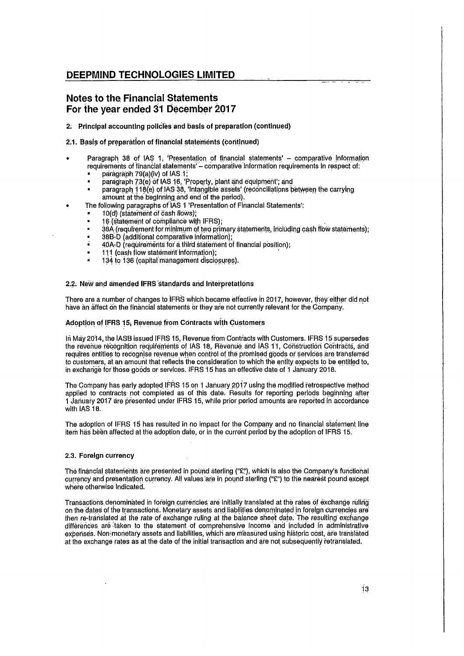## **Notes to the Financial Statements** For the year ended 31 December 2017

#### 2. Principal accounting policies and basis of preparation (continued)

#### 2.1. Basis of preparation of financial statements (continued)

- Paragraph 38 of IAS 1, Presentation of financial statements' comparative information requirements of financial statements' - comparative information requirements in respect of:
	- paragraph 79(a)(iv) of IAS 1;
	- paragraph 73(e) of IAS 16, 'Property, plant and equipment'; and
	- paragraph 118(e) of IAS 38, 'Intangible assets' (reconciliations between the carrying amount at the beginning and end of the period).
	- The following paragraphs of IAS 1 'Presentation of Financial Statements':
		- 10(d) (statement of cash flows);
			- 16 (statement of compliance with IFRS):
			- 38A (requirement for minimum of two primary statements, including cash flow statements);
			- 38B-D (additional comparative information):
			- 40A-D (requirements for a third statement of financial position);
			- 111 (cash flow statement information):
			- 134 to 136 (capital management disclosures).

#### 2.2. New and amended IFRS standards and Interpretations

There are a number of changes to IFRS which became effective in 2017, however, they either did not have an affect on the financial statements or they are not currently relevant for the Company.

### Adoption of IFRS 15, Revenue from Contracts with Customers

In May 2014, the IASB issued IFRS 15, Revenue from Contracts with Customers. IFRS 15 supersedes the revenue recognition requirements of IAS 18, Revenue and IAS 11, Construction Contracts, and requires entities to recognise revenue when control of the promised goods or services are transferred to customers, at an amount that reflects the consideration to which the entity expects to be entitled to, in exchange for those goods or services. IFRS 15 has an effective date of 1 January 2018.

The Company has early adopted IFRS 15 on 1 January 2017 using the modified retrospective method applied to contracts not completed as of this date. Results for reporting periods beginning after 1 January 2017 are presented under IFRS 15, while prior period amounts are reported in accordance with IAS 18.

The adoption of IFRS 15 has resulted in no impact for the Company and no financial statement line item has been affected at the adoption date, or in the current period by the adoption of IFRS 15.

#### 2.3. Foreign currency

The financial statements are presented in pound sterling ("£"), which is also the Company's functional currency and presentation currency. All values are in pound sterling ("£") to the nearest pound except where otherwise Indicated.

Transactions denominated in foreign currencies are initially translated at the rates of exchange ruling on the dates of the transactions. Monetary assets and liabilities denominated in foreign currencies are then re-translated at the rate of exchange ruling at the balance sheet date. The resulting exchange differences are taken to the statement of comprehensive income and included in administrative expenses. Non-monetary assets and liabilities, which are measured using historic cost, are translated at the exchange rates as at the date of the initial transaction and are not subsequently retranslated.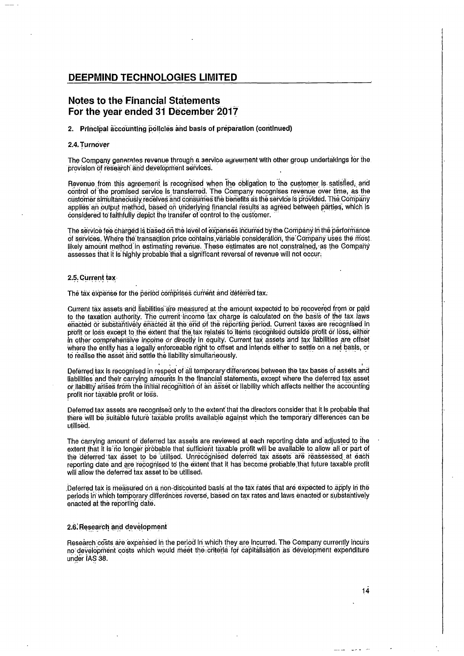## **Notes to the Financial Statements** For the year ended 31 December 2017

#### 2. Principal accounting policies and basis of preparation (continued)

#### 2.4. Turnover

The Company generates revenue through a service agreement with other group undertakings for the provision of research and development services.

Revenue from this agreement is recognised when the obligation to the customer is satisfied, and control of the promised service is transferred. The Company recognises revenue over time, as the customer simultaneously receives and consumes the benefits as the service is provided. The Company applies an output method, based on underlying financial results as agreed between parties, which is considered to faithfully depict the transfer of control to the customer.

The service fee charged is based on the level of expenses incurred by the Company in the performance of services. Where the transaction price contains variable consideration, the Company uses the most likely amount method in estimating revenue. These estimates are not constrained, as the Company assesses that it is highly probable that a significant reversal of revenue will not occur.

#### 2.5. Current tax

The tax expense for the period comprises current and deferred tax.

Current tax assets and liabilities are measured at the amount expected to be recovered from or paid to the taxation authority. The current income tax charge is calculated on the basis of the tax laws enacted or substantively enacted at the end of the reporting period. Current taxes are recognised in profit or loss except to the extent that the tax relates to items recognised outside profit or loss, either in other comprehensive income or directly in equity. Current tax assets and tax llabilities are offset where the entity has a legally enforceable right to offset and intends either to settle on a net basis, or to realise the asset and settle the liability simultaneously.

Deferred tax is recognised in respect of all temporary differences between the tax bases of assets and liabilities and their carrying amounts in the financial statements, except where the deferred tax asset or liability arises from the initial recognition of an asset or liability which affects neither the accounting profit nor taxable profit or loss.

Deferred tax assets are recognised only to the extent that the directors consider that it is probable that there will be suitable future taxable profits available against which the temporary differences can be utilised.

The carrying amount of deferred tax assets are reviewed at each reporting date and adjusted to the extent that it is no longer probable that sufficient taxable profit will be available to allow all or part of the deferred tax asset to be utilised. Unrecognised deferred tax assets are reassessed at each reporting date and are recognised to the extent that it has become probable that future taxable profit will allow the deferred tax asset to be utilised.

Deferred tax is measured on a non-discounted basis at the tax rates that are expected to apply in the periods in which temporary differences reverse, based on tax rates and laws enacted or substantively enacted at the reporting date.

#### 2.6. Research and development

Research costs are expensed in the period in which they are incurred. The Company currently incurs no development costs which would meet the criteria for capitalisation as development expenditure under IAS 38.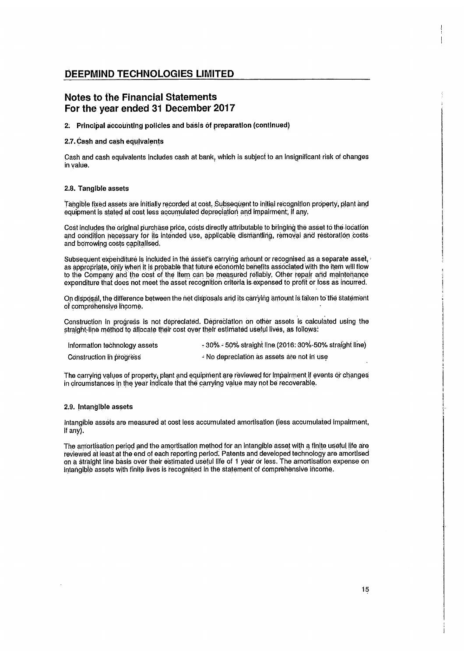## **Notes to the Financial Statements** For the year ended 31 December 2017

#### 2. Principal accounting policies and basis of preparation (continued)

#### 2.7. Cash and cash equivalents

Cash and cash equivalents includes cash at bank, which is subject to an insignificant risk of changes in value.

#### 2.8. Tangible assets

Tangible fixed assets are initially recorded at cost. Subsequent to initial recognition property, plant and equipment is stated at cost less accumulated depreciation and impairment, if any.

Cost includes the original purchase price, costs directly attributable to bringing the asset to the location and condition necessary for its intended use, applicable dismantling, removal and restoration costs and borrowing costs capitalised.

Subsequent expenditure is included in the asset's carrying amount or recognised as a separate asset, as appropriate, only when it is probable that future economic benefits associated with the item will flow to the Company and the cost of the Item can be measured reliably. Other repair and maintenance expenditure that does not meet the asset recognition criteria is expensed to profit or loss as incurred.

On disposal, the difference between the net disposals and its carrying amount is taken to the statement of comprehensive income.

Construction in progress is not depreciated. Depreciation on other assets is calculated using the straight-line method to allocate their cost over their estimated useful lives, as follows:

| Information technology assets | - 30% - 50% straight line (2016: 30%-50% straight line) |
|-------------------------------|---------------------------------------------------------|
| Construction in progress      | - No depreclation as assets are not in use              |

The carrying values of property, plant and equipment are reviewed for impairment if events or changes in circumstances in the year indicate that the carrying value may not be recoverable.

#### 2.9. Intangible assets

Intangible assets are measured at cost less accumulated amortisation (less accumulated Impairment, if any).

The amortisation period and the amortisation method for an intangible asset with a finite useful life are reviewed at least at the end of each reporting period. Patents and developed technology are amortised on a straight line basis over their estimated useful life of 1 year or less. The amortisation expense on intangible assets with finite lives is recognised in the statement of comprehensive income.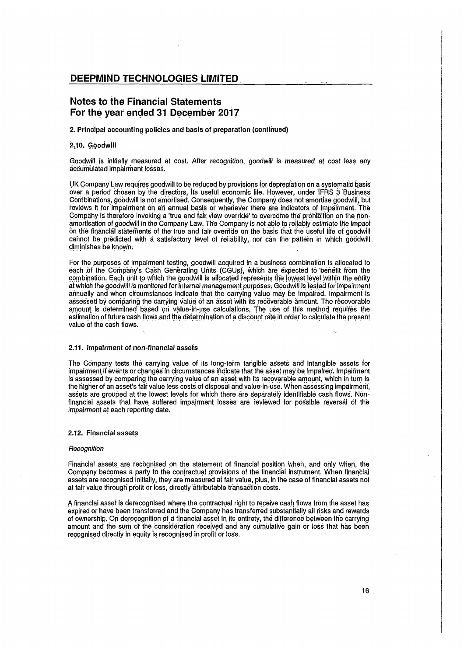## Notes to the Financial Statements \_ For the year ended 31 December 2017

#### 2. Principal accounting policies and basis of preparation (continued)

#### 2.10. Goodwill

Goodwill is initially measured at cost. After recognition, goodwill is measured at cost less any accumulated impairment losses.

UK.Company Law requires goodwill to be reduced by provisions for depreciation on a systematic basis over a period chosen by the directors, its useful economic life. However, under IFRS 3 Business Combinations, goodwill Is not amoitised. Consequently, the Companydoes not:amortisegoodwill; but réviews it for impairment on an annual basis or whenever there are indicators of impairment. The Company is therefore invoking a 'true and fair view override' to overcome the prohibition on the nonamortisation of goodwill in the Company Law. The Company is not able to reliably estimate the impact on the financial statements of the true and fair override on the basis that the useful life of goodwill cannot be predicted with a satisfactory level of reliability, nor can the pattern in which goodwill diminishes be known;

For the purposes of impairment testing, goodwill acquired in a business combination is allocated to each of the Company's Cash Génerating Units (CGUs), which are expected to 'benefit from the combination. Each unit to which the goodwill is allocated represents the lowest level within the entity at which the goodwill is monitored for internal management purposes. Goodwill is tested for impairment annually and when circumstances Indicate that the carrying value may be impaired. Impairmentis assessed by comparing the carrying value of an asset with its recoverable amount. The recoverable amount Is determined' based 'ofi value-in- use calculations. The use of this method requirés the estimation of future cash flows and the determination of a discount rate in order to calculate the present value. of the cash flows.

#### 2.11. Impairment of non-financial assets

The Company tests the carrying value of its long-term tangible assets and intangible assets for Impairment if events or changes in circumstances indicate that the asset may be impaired. Impairment is assessed by comparing the carrying value of an asset with its recoverable amount, which in turn is the higher of an asset's fair value less costs of disposal and value-in-use. When assessing impairment, assets are grouped at the lowest levels for which there are separately identifiable cash flows. Nonfinancial assets that have suffered impairment losses aré teviewed for possible reversal of the impairment at each reporting date.

#### 2.12. Financlal assets

#### Recognition

Financial assets are recognised on the statement of financial position when, and only when, the Company becomes a party to the contractual provisions of the financial instrument. When financial assets are recognised initially, they are measured at fair value, plus, in the case of financial assets not at fair value through profit or loss, directly attributable transaction costs.

A financial asset is derecognised where the contractual right to receive cash flows from the asset has expired or have been transferred and the Company has transferred substantially all risks and rewards of ownership. On derecognition of afinancial assetinits entirety, the differéncé between the carrying amount and the sum of the consideration received and any cumulative gain or loss that has been recognised directly in equity is recognised in profit or loss.

 $\overline{\phantom{a}}$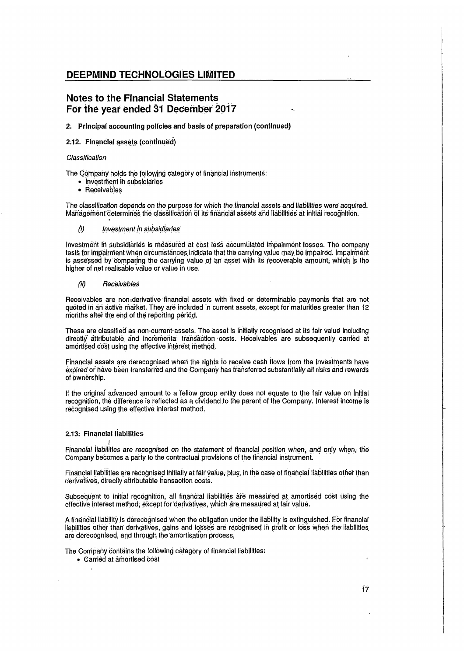## **Notes to the Financial Statements** For the year ended 31 December 2017

2. Principal accounting policies and basis of preparation (continued)

#### 2.12. Financial assets (continued)

#### Classification

The Company holds the following category of financial instruments:

- Investment in subsidiaries
- Receivables

The classification depends on the purpose for which the financial assets and liabilities were acquired. Management determines the classification of its financial assets and liabilities at initial recognition.

#### Investment in subsidiaries  $\ddot{v}$

Investment in subsidiaries is méasured at cost less accumulated impairment losses. The company tests for impairment when circumstances indicate that the carrying value may be impaired. Impairment is assessed by comparing the carrying value of an asset with its recoverable amount, which is the higher of net realisable value or value in use.

#### $(ii)$ Receivables

Receivables are non-derivative financial assets with fixed or determinable payments that are not quoted in an active market. They are included in current assets, except for maturities greater than 12 months after the end of the reporting period.

These are classified as non-current assets. The asset is initially recognised at its fair value including directly attributable and incremental transaction costs. Receivables are subsequently carried at amortised cost using the effective interest method.

Financial assets are derecognised when the rights to receive cash flows from the investments have expired or have been transferred and the Company has transferred substantially all risks and rewards of ownership.

If the original advanced amount to a fellow group entity does not equate to the fair value on initial recognition, the difference is reflected as a dividend to the parent of the Company. Interest income is recognised using the effective interest method.

#### 2.13: Financial liabilities

Financial liabilities are recognised on the statement of financial position when, and only when, the Company becomes a party to the contractual provisions of the financial instrument.

Financial liabilities are recognised initially at fair value, plus, in the case of financial liabilities other than derivatives, directly attributable transaction costs.

Subsequent to initial recognition, all financial liabilities are measured at amortised cost using the effective interest method, except for derivatives, which are measured at fair value.

A financial liability is derecognised when the obligation under the liability is extinguished. For financial liabilities other than derivatives, gains and losses are recognised in profit or loss when the liabilities are derecognised, and through the amortisation process.

The Company contains the following category of financial liabilities:

· Carried at amortised cost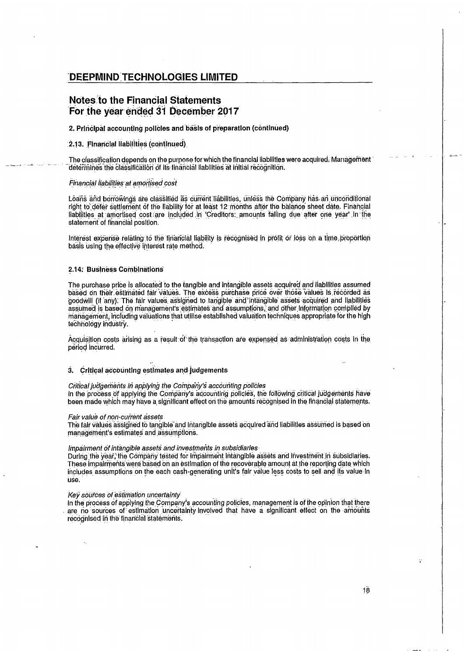## **Notes to the Financial Statements** For the year ended 31 December 2017

#### 2. Principal accounting policies and basis of preparation (continued)

#### 2.13. Financial liabilities (continued)

The classification depends on the purpose for which the financial liabilities were acquired. Management determines the classification of its financial liabilities at initial recognition.

#### Financial llabilities at amortised cost

Loans and borrowings are classified as current liabilities, unless the Company has an unconditional right to defer settlement of the liability for at least 12 months after the balance sheet date. Financial liabilities at amortised cost are included in 'Creditors: amounts failing due after one year' in the statement of financial position.

Interest expense relating to the financial liability is recognised in profit or loss on a time proportion basis using the effective interest rate method.

#### 2.14. Business Combinations

The purchase price is allocated to the tangible and intangible assets acquired and liabilities assumed based on their estimated fair values. The excess purchase price over those values is recorded as goodwill (if any). The fair values assigned to tangible and intangible assets acquired and liabilities assumed is based on management's estimates and assumptions, and other information compiled by management, including valuations that utilise established valuation techniques appropriate for the high technology industry.

Acquisition costs arising as a result of the transaction are expensed as administration costs in the period Incurred.

#### 3. Critical accounting estimates and judgements

#### Critical judgements in applying the Company's accounting policies

In the process of applying the Company's accounting policies, the following critical judgements have been made which may have a significant effect on the amounts recognised in the financial statements.

#### Fair value of non-current assets

The fair values assigned to tangible and intangible assets acquired and liabilities assumed is based on management's estimates and assumptions.

#### Impairment of intangible assets and investments in subsidiaries

During the year, the Company tested for impairment intangible assets and investment in subsidiaries. These impairments were based on an estimation of the recoverable amount at the reporting date which includes assumptions on the each cash-generating unit's fair value less costs to sell and its value in ijse.

#### Key sources of estimation uncertainty

In the process of applying the Company's accounting policies, management is of the opinion that there are no sources of estimation uncertainty involved that have a significant effect on the amounts recognised in the financial statements.

 $1\overline{8}$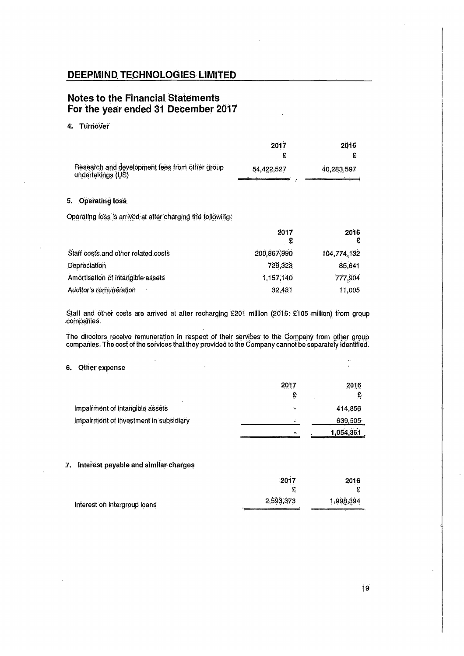## **Notes to the Financial Statements** For the year ended 31 December 2017

4. Turnover

|                                                                     | 2017       | 2016       |
|---------------------------------------------------------------------|------------|------------|
|                                                                     |            |            |
| Research and development fees from other group<br>undertakings (US) | 54,422,527 | 40,283,597 |

#### 5. Operating loss

Operating loss is arrived at after charging the following.

|                                     | 2017        | 2016        |
|-------------------------------------|-------------|-------------|
| Staff costs and other related costs | 200,867,990 | 104,774,132 |
| Depreciation                        | 729,323     | 85,641      |
| Amortisation of intangible assets   | 1,157,140   | 777,904     |
| Auditor's remuneration              | 32,431      | 11,005      |

Staff and other costs are arrived at after recharging £201 million (2016: £105 million) from group companies.

The directors receive remuneration in respect of their services to the Company from other group<br>companies. The cost of the services that they provided to the Company cannot be separately identified.

#### 6. Other expense

|                                        | 2017   | 2016      |
|----------------------------------------|--------|-----------|
| ٠.                                     | £      | £.        |
| Impairment of intangible assets        | $\sim$ | 414,856   |
| Impairment of investment in subsidiary |        | 639,505   |
|                                        |        | 1,054,361 |

#### 7. Interest payable and similar charges

|                              | 2017                                                                                        | 2016      |
|------------------------------|---------------------------------------------------------------------------------------------|-----------|
|                              |                                                                                             |           |
| Interest on Intergroup loans | 2,593,373                                                                                   | 1,998,394 |
|                              | dealership and contract the contract of the contract of the contract of the contract of the |           |

 $19$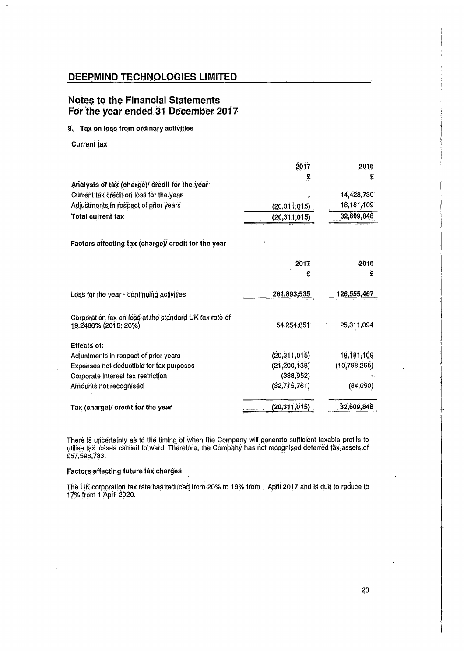## **Notes to the Financial Statements** For the year ended 31 December 2017

8. Tax on loss from ordinary activities

**Current tax** 

|                                                                                | 2017             | 2016         |
|--------------------------------------------------------------------------------|------------------|--------------|
|                                                                                | £                | £            |
| Analysis of tax (charge)/ credit for the year                                  |                  |              |
| Current tax credit on loss for the year                                        |                  | 14,428,739   |
| Adjustments in respect of prior years                                          | (20,311,015)     | 18,181,109   |
| <b>Total current tax</b>                                                       | (20, 31, 1, 015) | 32,609,848   |
| Factors affecting tax (charge)/ credit for the year                            |                  |              |
|                                                                                | 2017             | 2016         |
|                                                                                | £                | È            |
| Loss for the year - continuing activities                                      | 281,893,535      | 126,555,467  |
| Corporation tax on loss at the standard UK tax rate of<br>19.2466% (2016: 20%) | 54,254,851       | 25,311,094   |
| Effects of:                                                                    |                  |              |
| Adjustments in respect of prior years                                          | (20,311,015)     | 18,181,109   |
| Expenses not deductible for tax purposes                                       | (21, 200, 138)   | (10,798,265) |
| Corporate Interest tax restriction                                             | (338, 952)       |              |
| Amounts not recognised                                                         | (32,715,761)     | (84,090)     |
| Tax (charge)/ credit for the year                                              | (20, 311, 015)   | 32,609,848   |

There is uncertainty as to the timing of when the Company will generate sufficient taxable profits to<br>utilise tax losses carried forward. Therefore, the Company has not recognised deferred tax assets of £57,596,733.

#### Factors affecting future tax charges

The UK corporation tax rate has reduced from 20% to 19% from 1 April 2017 and is due to reduce to 17% from 1 April 2020.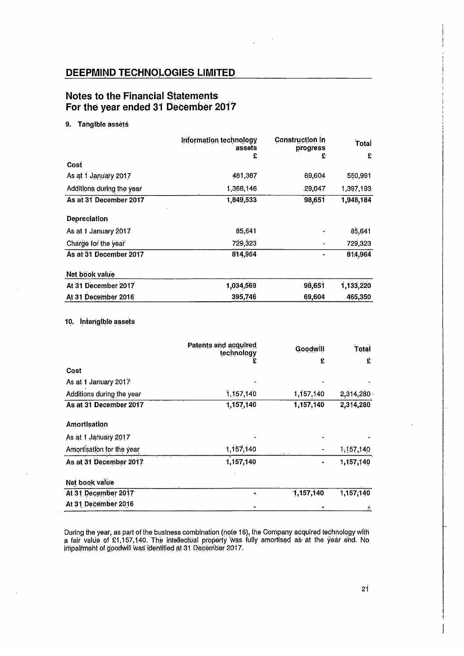## Notes to the Financial Statements \_ For the year ended 31 December 2017

## 9. Tangible assets

| <b>DEEPMIND TECHNOLOGIES LIMITED</b>                |                        |                        |                          |
|-----------------------------------------------------|------------------------|------------------------|--------------------------|
| <b>Notes to the Financial Statements</b>            |                        |                        |                          |
|                                                     |                        |                        |                          |
| For the year ended 31 December 2017                 |                        |                        |                          |
| Tangible assets                                     |                        |                        |                          |
|                                                     | Information technology | Construction in        | Total                    |
|                                                     | assets<br>£            | progress<br>£          | £                        |
| Cost<br>As at 1 January 2017                        | 481,387                | 69,604                 | 550,991                  |
| Additions during the year                           | 1,368,146              | .29,047                | 1,397,193                |
| As at 31 December 2017                              | 1,849,533              | 98,651                 | 1,948,184                |
| <b>Depreciation</b>                                 |                        |                        |                          |
| As at 1 January 2017                                | 85,641                 | £,                     | 85,641                   |
| Charge for the year<br>As at 31 December 2017       | 729,323                | ÷                      | 729,323                  |
| 9.                                                  | 814,964                |                        | 814,964                  |
| Net book value                                      |                        |                        |                          |
| At 31 December 2017<br>At 31 December 2016          | 1,034,569<br>395,746   | 98,651<br>69,604       | 1,133,220<br>465,350     |
|                                                     |                        |                        |                          |
| Intangible assets                                   |                        |                        |                          |
|                                                     | Patents and acquired   |                        |                          |
|                                                     | technology<br>£        | Goodwill<br>£          | Total<br>£               |
| Cost                                                |                        |                        |                          |
| As at 1 January 2017                                |                        |                        |                          |
| Additions during the year<br>As at 31 December 2017 | 1,157,140<br>1,157,140 | 1,157,140<br>1,157,140 | 2,314,280 ·<br>2,314,280 |
|                                                     |                        |                        |                          |
| 10.<br>Amortisation<br>As at 1 January 2017         |                        |                        |                          |
| Amortisation for the year                           | 1,157,140              |                        | 1,157,140                |
| As at 31 December 2017                              | 1,157,140              |                        | 1,157,140                |

#### 10. Intangible assets

| <b>DEEPMIND TECHNOLOGIES LIMITED</b>                         |                             |                 |            |
|--------------------------------------------------------------|-----------------------------|-----------------|------------|
| <b>Notes to the Financial Statements</b>                     |                             |                 |            |
| For the year ended 31 December 2017<br>Tangible assets<br>9. |                             |                 |            |
|                                                              | Information technology      | Construction in |            |
|                                                              | assets                      | progress        | Total      |
| Cost                                                         | £                           | £               | £          |
| As at 1 January 2017                                         | 481,387                     | 69,604          | 550,991    |
| Additions during the year                                    | 1,368,146                   | .29,047         | 1,397,193  |
| As at 31 December 2017                                       | 1,849,533                   | 98,651          | 1,948,184  |
| <b>Depreciation</b>                                          |                             |                 |            |
| As at 1 January 2017                                         | 85,641                      |                 | 85,641     |
| Charge for the year                                          | 729,323                     |                 | 729,323    |
| As at 31 December 2017                                       | 814,964                     |                 | 814,964    |
| Net book value                                               |                             |                 |            |
| At 31 December 2017                                          | 1,034,569                   | 98,651          | 1,133,220  |
| At 31 December 2016                                          | 395,746                     | 69,604          | 465,350    |
|                                                              |                             |                 |            |
| Intangible assets<br>10.                                     |                             |                 |            |
|                                                              | <b>Patents and acquired</b> |                 |            |
|                                                              | technology<br>£             | Goodwill<br>£   | Total<br>£ |
| Cost                                                         |                             |                 |            |
| As at 1 January 2017                                         |                             |                 |            |
| Additions during the year                                    | 1,157,140                   | 1,157,140       | 2,314,280  |
| As at 31 December 2017                                       | 1,157,140                   | 1,157,140       | 2,314,280  |
| Amortisation                                                 |                             |                 |            |
| As at 1 January 2017                                         |                             |                 |            |
| Amortisation for the year                                    | 1,157,140                   |                 | 1,157,140  |
| As at 31 December 2017                                       | 1,157,140                   | ٠               | 1,157,140  |
|                                                              |                             |                 |            |
| Net book value                                               |                             |                 |            |
| At 31 December 2017<br>At 31 December 2016                   | Ą,                          | 1,157,140       | 1,157,140  |
|                                                              |                             |                 |            |

During the year, as part of the business combination (note 16), the Company acquired technology with a fair value of £1,157,140. The intellectual property was fully amortised as at the year end. No. irtipaifment of goodwill was identified at 31 Decémiber 2017.

 $\mathbf{I}$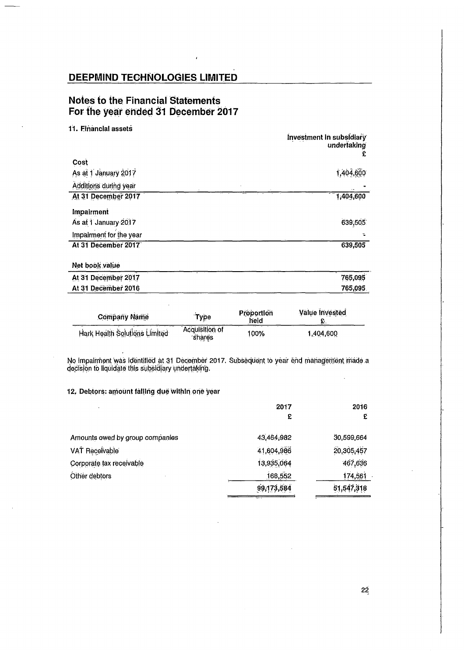## **Notes to the Financial Statements** For the year ended 31 December 2017

11. Financial assets

|                         | Investment in subsidiary<br>undertaking |
|-------------------------|-----------------------------------------|
| Cost                    |                                         |
| As at 1 January 2017    | 1,404,600                               |
| Additions during year   |                                         |
| At 31 December 2017     | ÷.,<br>1,404,600                        |
| Impairment              |                                         |
| As at 1 January 2017    | 639,505                                 |
| Impairment for the year | ÷.                                      |
| At 31 December 2017     | 639,505                                 |
| Net book value          |                                         |
| At 31 December 2017     | 765,095                                 |
| At 31 December 2016     | 765,095                                 |

| <b>Company Name</b>           | <b>Type</b>              | Proportion<br>held | Value Invested |
|-------------------------------|--------------------------|--------------------|----------------|
| Hark Health Solutions Limited | Acquisition of<br>shares | 100%               | 1,404,600      |

No Impairment was Identified at 31 December 2017. Subsequent to year end management made a<br>decision to liquidate this subsidiary undertaking.

12. Debtors: amount falling due within one year

| 2017       | 2016<br>£  |
|------------|------------|
|            |            |
| 43,464,982 | 30,599,664 |
| 41,604,986 | 20,305,457 |
| 13,935,064 | 467,636    |
| 168,552    | 174,561    |
| 99,173,584 | 51,547,318 |
|            | £          |

 $22$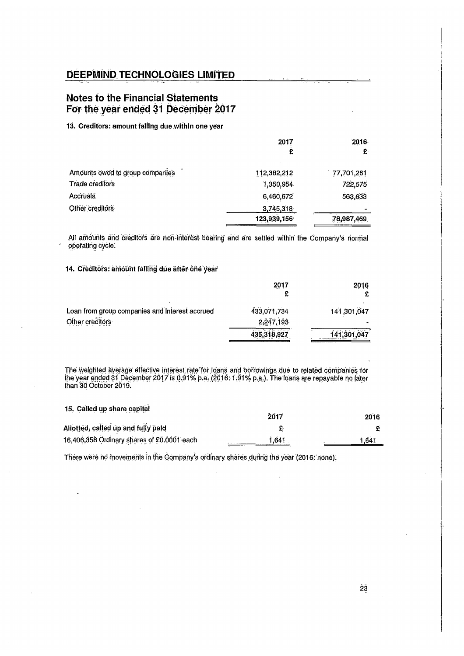## **Notes to the Financial Statements** For the year ended 31 December 2017

13. Creditors: amount failing due within one year

|                                 | 2017        | 2016       |
|---------------------------------|-------------|------------|
|                                 | £           | £          |
| Amounts owed to group companies | 112,382,212 | 77,701,261 |
| <b>Trade creditors</b>          | 1,350,954   | 722,575    |
| Accruals.                       | 6,460,672   | 563,633    |
| Other creditors                 | 3,745,318   |            |
|                                 | 123,939,156 | 78,987,469 |

All amounts and creditors are non-interest bearing and are settled within the Company's normal operating cycle.

### 14. Creditors: amount falling due after one year

|                                                | 2017        | 2016        |
|------------------------------------------------|-------------|-------------|
|                                                |             |             |
| Loan from group companies and Interest accrued | 433,071,734 | 141,301,047 |
| Other creditors                                | 2,247,193   |             |
|                                                | 435,318,927 | 141,301,047 |

The weighted average effective interest rate for loans and borrowings due to related companies for<br>the year ended 31 December 2017 is 0.91% p.a. (2016: 1.91% p.a.). The loans are repayable no later than 30 October 2019.

| 15. Called up share capital                |      |       |
|--------------------------------------------|------|-------|
|                                            | 2017 | 2016  |
| Allotted, called up and fully paid         |      |       |
| 16,406,358 Ordinary shares of £0.0001 each | ,641 | 1.641 |

There were no movements in the Company's ordinary shares during the year (2016: none).

23